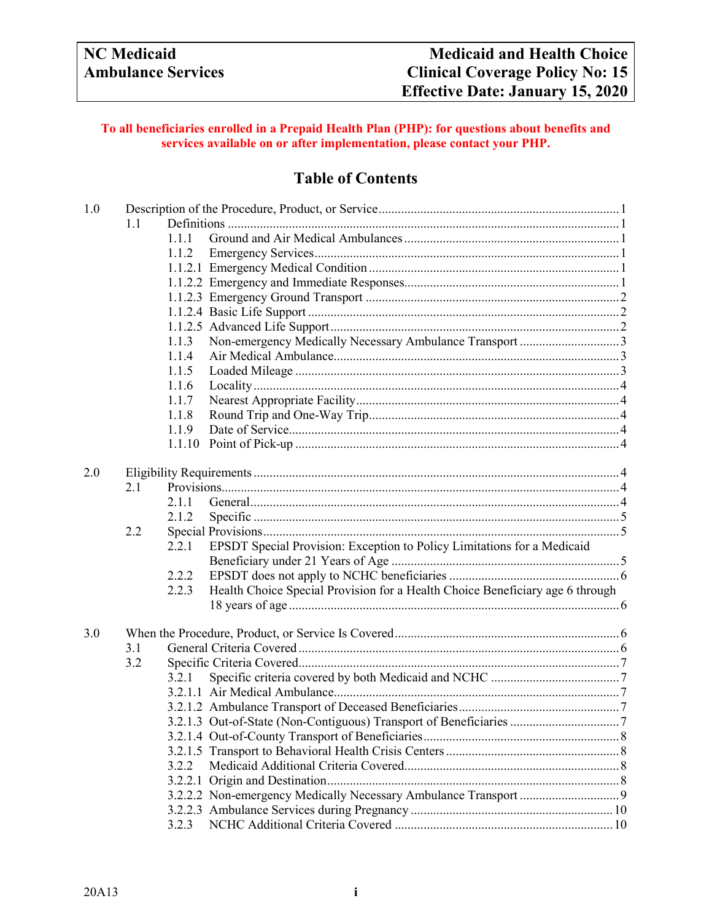# **To all beneficiaries enrolled in a Prepaid Health Plan (PHP): for questions about benefits and services available on or after implementation, please contact your PHP.**

# **Table of Contents**

| 1.0 |     |       |                                                                               |  |  |
|-----|-----|-------|-------------------------------------------------------------------------------|--|--|
|     | 1.1 |       |                                                                               |  |  |
|     |     | 1.1.1 |                                                                               |  |  |
|     |     | 1.1.2 |                                                                               |  |  |
|     |     |       |                                                                               |  |  |
|     |     |       |                                                                               |  |  |
|     |     |       |                                                                               |  |  |
|     |     |       |                                                                               |  |  |
|     |     |       |                                                                               |  |  |
|     |     | 1.1.3 |                                                                               |  |  |
|     |     | 1.1.4 |                                                                               |  |  |
|     |     | 1.1.5 |                                                                               |  |  |
|     |     | 1.1.6 |                                                                               |  |  |
|     |     | 1.1.7 |                                                                               |  |  |
|     |     | 1.1.8 |                                                                               |  |  |
|     |     | 1.1.9 |                                                                               |  |  |
|     |     |       |                                                                               |  |  |
|     |     |       |                                                                               |  |  |
| 2.0 |     |       |                                                                               |  |  |
|     | 2.1 |       |                                                                               |  |  |
|     |     | 2.1.1 |                                                                               |  |  |
|     |     | 2.1.2 |                                                                               |  |  |
|     | 2.2 |       |                                                                               |  |  |
|     |     | 2.2.1 | EPSDT Special Provision: Exception to Policy Limitations for a Medicaid       |  |  |
|     |     |       |                                                                               |  |  |
|     |     | 2.2.2 |                                                                               |  |  |
|     |     | 2.2.3 | Health Choice Special Provision for a Health Choice Beneficiary age 6 through |  |  |
|     |     |       |                                                                               |  |  |
|     |     |       |                                                                               |  |  |
| 3.0 |     |       |                                                                               |  |  |
|     | 3.1 |       |                                                                               |  |  |
|     | 3.2 |       |                                                                               |  |  |
|     |     | 3.2.1 |                                                                               |  |  |
|     |     |       |                                                                               |  |  |
|     |     |       |                                                                               |  |  |
|     |     |       |                                                                               |  |  |
|     |     |       |                                                                               |  |  |
|     |     |       |                                                                               |  |  |
|     |     | 3.2.2 |                                                                               |  |  |
|     |     |       |                                                                               |  |  |
|     |     |       |                                                                               |  |  |
|     |     |       |                                                                               |  |  |
|     |     | 3.2.3 |                                                                               |  |  |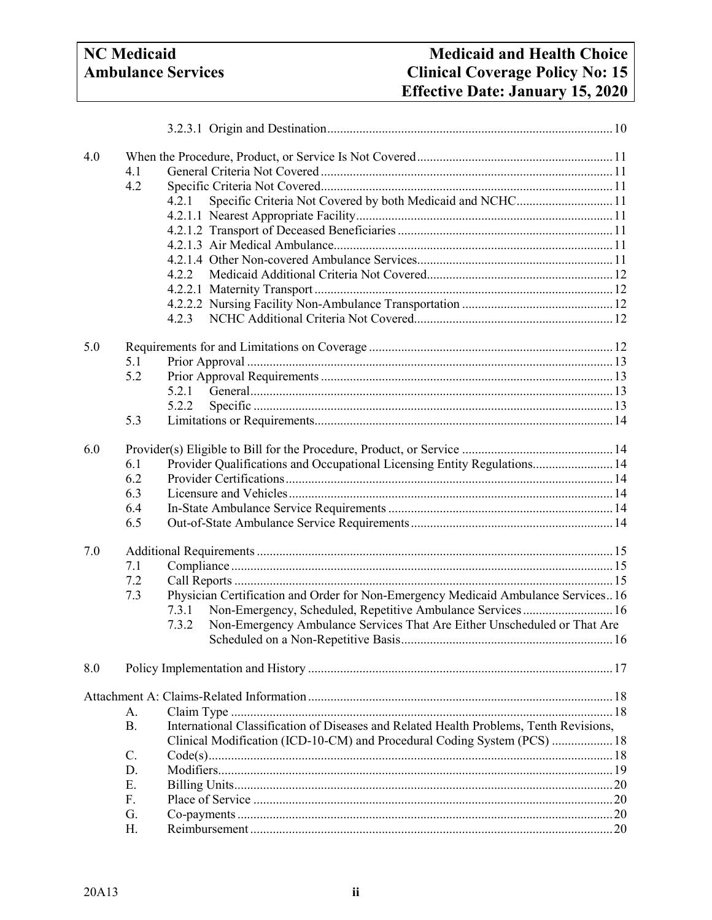| 4.0 |           |                                                                                                                                                                    |  |  |
|-----|-----------|--------------------------------------------------------------------------------------------------------------------------------------------------------------------|--|--|
|     | 4.1       |                                                                                                                                                                    |  |  |
|     | 4.2       |                                                                                                                                                                    |  |  |
|     |           | Specific Criteria Not Covered by both Medicaid and NCHC 11<br>4.2.1                                                                                                |  |  |
|     |           |                                                                                                                                                                    |  |  |
|     |           |                                                                                                                                                                    |  |  |
|     |           |                                                                                                                                                                    |  |  |
|     |           |                                                                                                                                                                    |  |  |
|     |           | 4.2.2                                                                                                                                                              |  |  |
|     |           |                                                                                                                                                                    |  |  |
|     |           |                                                                                                                                                                    |  |  |
|     |           | 4.2.3                                                                                                                                                              |  |  |
|     |           |                                                                                                                                                                    |  |  |
| 5.0 |           |                                                                                                                                                                    |  |  |
|     | 5.1       |                                                                                                                                                                    |  |  |
|     | 5.2       |                                                                                                                                                                    |  |  |
|     |           | 5.2.1                                                                                                                                                              |  |  |
|     |           | 5.2.2                                                                                                                                                              |  |  |
|     | 5.3       |                                                                                                                                                                    |  |  |
|     |           |                                                                                                                                                                    |  |  |
| 6.0 |           |                                                                                                                                                                    |  |  |
|     | 6.1       | Provider Qualifications and Occupational Licensing Entity Regulations 14                                                                                           |  |  |
|     | 6.2       |                                                                                                                                                                    |  |  |
|     | 6.3       |                                                                                                                                                                    |  |  |
|     | 6.4       |                                                                                                                                                                    |  |  |
|     | 6.5       |                                                                                                                                                                    |  |  |
|     |           |                                                                                                                                                                    |  |  |
| 7.0 |           |                                                                                                                                                                    |  |  |
|     | 7.1       |                                                                                                                                                                    |  |  |
|     | 7.2       |                                                                                                                                                                    |  |  |
|     | 7.3       | Physician Certification and Order for Non-Emergency Medicaid Ambulance Services 16                                                                                 |  |  |
|     |           | Non-Emergency, Scheduled, Repetitive Ambulance Services 16<br>7.3.1                                                                                                |  |  |
|     |           | Non-Emergency Ambulance Services That Are Either Unscheduled or That Are<br>7.3.2                                                                                  |  |  |
|     |           |                                                                                                                                                                    |  |  |
|     |           |                                                                                                                                                                    |  |  |
| 8.0 |           |                                                                                                                                                                    |  |  |
|     |           |                                                                                                                                                                    |  |  |
|     |           |                                                                                                                                                                    |  |  |
|     | А.        |                                                                                                                                                                    |  |  |
|     | <b>B.</b> | International Classification of Diseases and Related Health Problems, Tenth Revisions,<br>Clinical Modification (ICD-10-CM) and Procedural Coding System (PCS)  18 |  |  |
|     | C.        |                                                                                                                                                                    |  |  |
|     | D.        |                                                                                                                                                                    |  |  |
|     | Ε.        |                                                                                                                                                                    |  |  |
|     | F.        |                                                                                                                                                                    |  |  |
|     |           |                                                                                                                                                                    |  |  |
|     | G.        |                                                                                                                                                                    |  |  |
|     | H.        |                                                                                                                                                                    |  |  |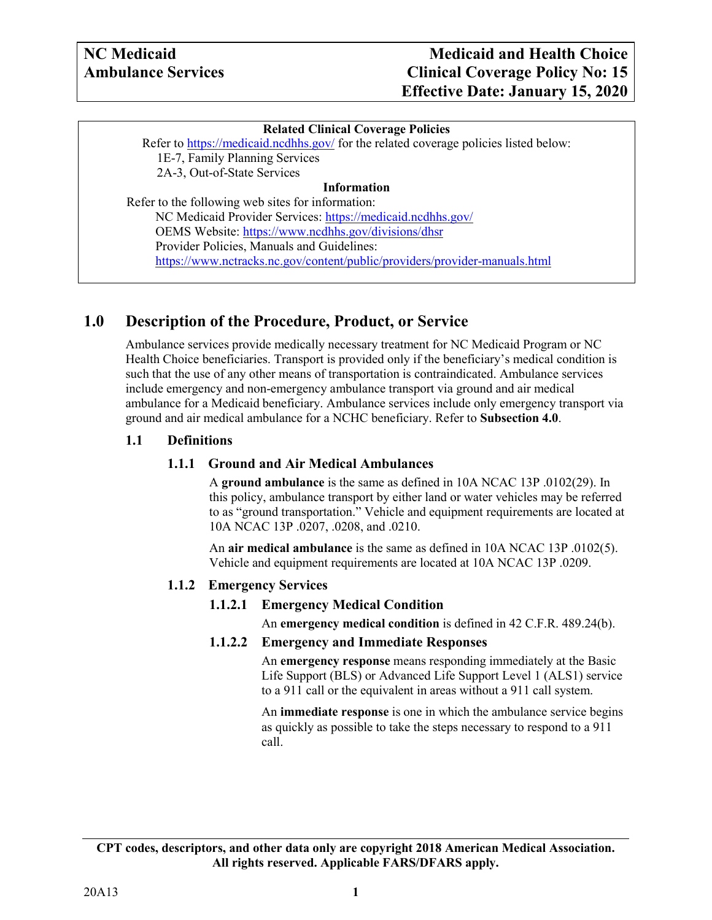#### **Related Clinical Coverage Policies**

Refer to<https://medicaid.ncdhhs.gov/> for the related coverage policies listed below: 1E-7, Family Planning Services 2A-3, Out-of-State Services

#### **Information**

Refer to the following web sites for information: NC Medicaid Provider Services: <https://medicaid.ncdhhs.gov/> OEMS Website: <https://www.ncdhhs.gov/divisions/dhsr> Provider Policies, Manuals and Guidelines: <https://www.nctracks.nc.gov/content/public/providers/provider-manuals.html>

# <span id="page-2-0"></span>**1.0 Description of the Procedure, Product, or Service**

Ambulance services provide medically necessary treatment for NC Medicaid Program or NC Health Choice beneficiaries. Transport is provided only if the beneficiary's medical condition is such that the use of any other means of transportation is contraindicated. Ambulance services include emergency and non-emergency ambulance transport via ground and air medical ambulance for a Medicaid beneficiary. Ambulance services include only emergency transport via ground and air medical ambulance for a NCHC beneficiary. Refer to **Subsection 4.0**.

#### <span id="page-2-2"></span><span id="page-2-1"></span>**1.1 Definitions**

#### **1.1.1 Ground and Air Medical Ambulances**

A **ground ambulance** is the same as defined in 10A NCAC 13P .0102(29). In this policy, ambulance transport by either land or water vehicles may be referred to as "ground transportation." Vehicle and equipment requirements are located at 10A NCAC 13P .0207, .0208, and .0210.

An **air medical ambulance** is the same as defined in 10A NCAC 13P .0102(5). Vehicle and equipment requirements are located at 10A NCAC 13P .0209.

#### <span id="page-2-5"></span><span id="page-2-4"></span><span id="page-2-3"></span>**1.1.2 Emergency Services**

#### **1.1.2.1 Emergency Medical Condition**

An **emergency medical condition** is defined in 42 C.F.R. 489.24(b).

#### **1.1.2.2 Emergency and Immediate Responses**

An **emergency response** means responding immediately at the Basic Life Support (BLS) or Advanced Life Support Level 1 (ALS1) service to a 911 call or the equivalent in areas without a 911 call system.

An **immediate response** is one in which the ambulance service begins as quickly as possible to take the steps necessary to respond to a 911 call.

**CPT codes, descriptors, and other data only are copyright 2018 American Medical Association. All rights reserved. Applicable FARS/DFARS apply.**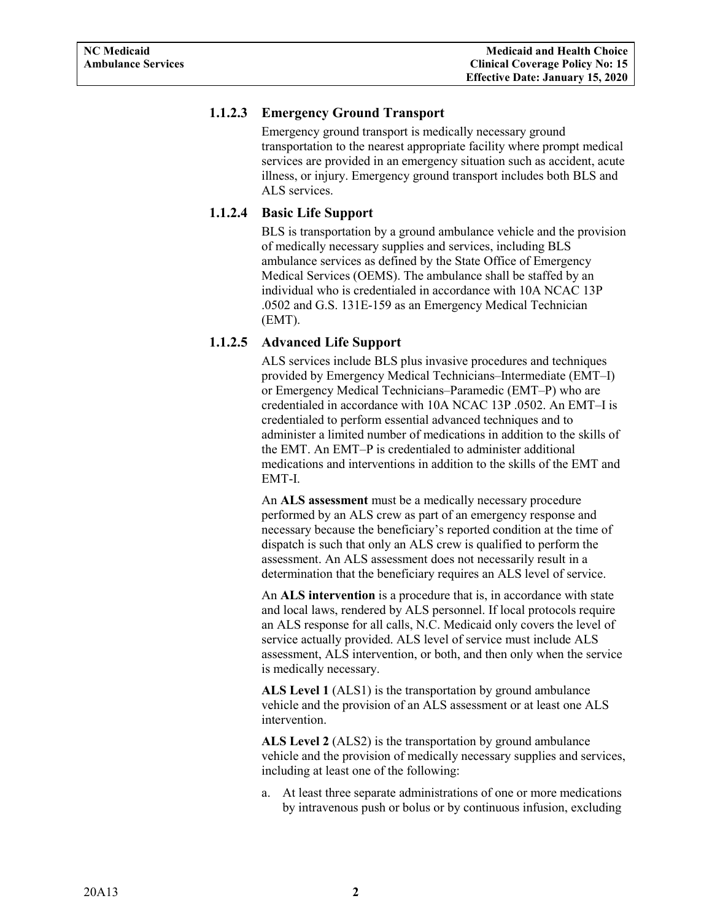# <span id="page-3-0"></span>**1.1.2.3 Emergency Ground Transport**

Emergency ground transport is medically necessary ground transportation to the nearest appropriate facility where prompt medical services are provided in an emergency situation such as accident, acute illness, or injury. Emergency ground transport includes both BLS and ALS services.

# <span id="page-3-1"></span>**1.1.2.4 Basic Life Support**

BLS is transportation by a ground ambulance vehicle and the provision of medically necessary supplies and services, including BLS ambulance services as defined by the State Office of Emergency Medical Services (OEMS). The ambulance shall be staffed by an individual who is credentialed in accordance with 10A NCAC 13P .0502 and G.S. 131E-159 as an Emergency Medical Technician (EMT).

# <span id="page-3-2"></span>**1.1.2.5 Advanced Life Support**

ALS services include BLS plus invasive procedures and techniques provided by Emergency Medical Technicians–Intermediate (EMT–I) or Emergency Medical Technicians–Paramedic (EMT–P) who are credentialed in accordance with 10A NCAC 13P .0502. An EMT–I is credentialed to perform essential advanced techniques and to administer a limited number of medications in addition to the skills of the EMT. An EMT–P is credentialed to administer additional medications and interventions in addition to the skills of the EMT and EMT-I.

An **ALS assessment** must be a medically necessary procedure performed by an ALS crew as part of an emergency response and necessary because the beneficiary's reported condition at the time of dispatch is such that only an ALS crew is qualified to perform the assessment. An ALS assessment does not necessarily result in a determination that the beneficiary requires an ALS level of service.

An **ALS intervention** is a procedure that is, in accordance with state and local laws, rendered by ALS personnel. If local protocols require an ALS response for all calls, N.C. Medicaid only covers the level of service actually provided. ALS level of service must include ALS assessment, ALS intervention, or both, and then only when the service is medically necessary.

**ALS Level 1** (ALS1) is the transportation by ground ambulance vehicle and the provision of an ALS assessment or at least one ALS intervention.

**ALS Level 2** (ALS2) is the transportation by ground ambulance vehicle and the provision of medically necessary supplies and services, including at least one of the following:

a. At least three separate administrations of one or more medications by intravenous push or bolus or by continuous infusion, excluding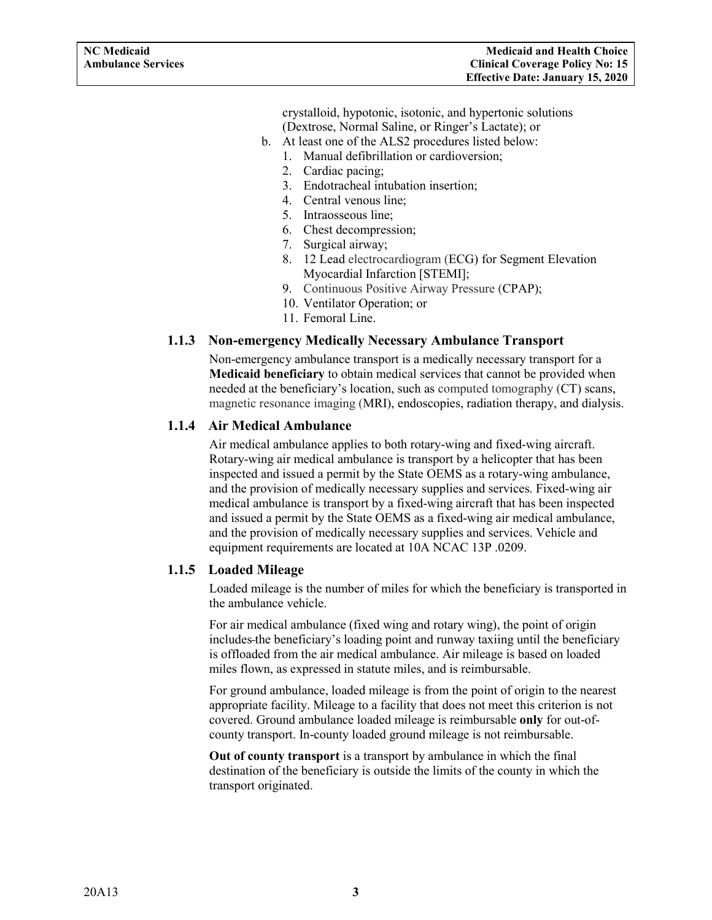crystalloid, hypotonic, isotonic, and hypertonic solutions (Dextrose, Normal Saline, or Ringer's Lactate); or

- <span id="page-4-3"></span>b. At least one of the ALS2 procedures listed below:
	- 1. Manual defibrillation or cardioversion;
	- 2. Cardiac pacing;
	- 3. Endotracheal intubation insertion;
	- 4. Central venous line;
	- 5. Intraosseous line;
	- 6. Chest decompression;
	- 7. Surgical airway;
	- 8. 12 Lead electrocardiogram (ECG) for Segment Elevation Myocardial Infarction [STEMI];
	- 9. Continuous Positive Airway Pressure (CPAP);
	- 10. Ventilator Operation; or
	- 11. Femoral Line.

# <span id="page-4-0"></span>**1.1.3 Non-emergency Medically Necessary Ambulance Transport**

Non-emergency ambulance transport is a medically necessary transport for a **Medicaid beneficiary** to obtain medical services that cannot be provided when needed at the beneficiary's location, such as computed tomography (CT) scans, magnetic resonance imaging (MRI), endoscopies, radiation therapy, and dialysis.

#### <span id="page-4-1"></span>**1.1.4 Air Medical Ambulance**

Air medical ambulance applies to both rotary-wing and fixed-wing aircraft. Rotary-wing air medical ambulance is transport by a helicopter that has been inspected and issued a permit by the State OEMS as a rotary-wing ambulance, and the provision of medically necessary supplies and services. Fixed-wing air medical ambulance is transport by a fixed-wing aircraft that has been inspected and issued a permit by the State OEMS as a fixed-wing air medical ambulance, and the provision of medically necessary supplies and services. Vehicle and equipment requirements are located at 10A NCAC 13P .0209.

#### <span id="page-4-2"></span>**1.1.5 Loaded Mileage**

Loaded mileage is the number of miles for which the beneficiary is transported in the ambulance vehicle.

For air medical ambulance (fixed wing and rotary wing), the point of origin includes the beneficiary's loading point and runway taxiing until the beneficiary is offloaded from the air medical ambulance. Air mileage is based on loaded miles flown, as expressed in statute miles, and is reimbursable.

For ground ambulance, loaded mileage is from the point of origin to the nearest appropriate facility. Mileage to a facility that does not meet this criterion is not covered. Ground ambulance loaded mileage is reimbursable **only** for out-ofcounty transport. In-county loaded ground mileage is not reimbursable.

**Out of county transport** is a transport by ambulance in which the final destination of the beneficiary is outside the limits of the county in which the transport originated.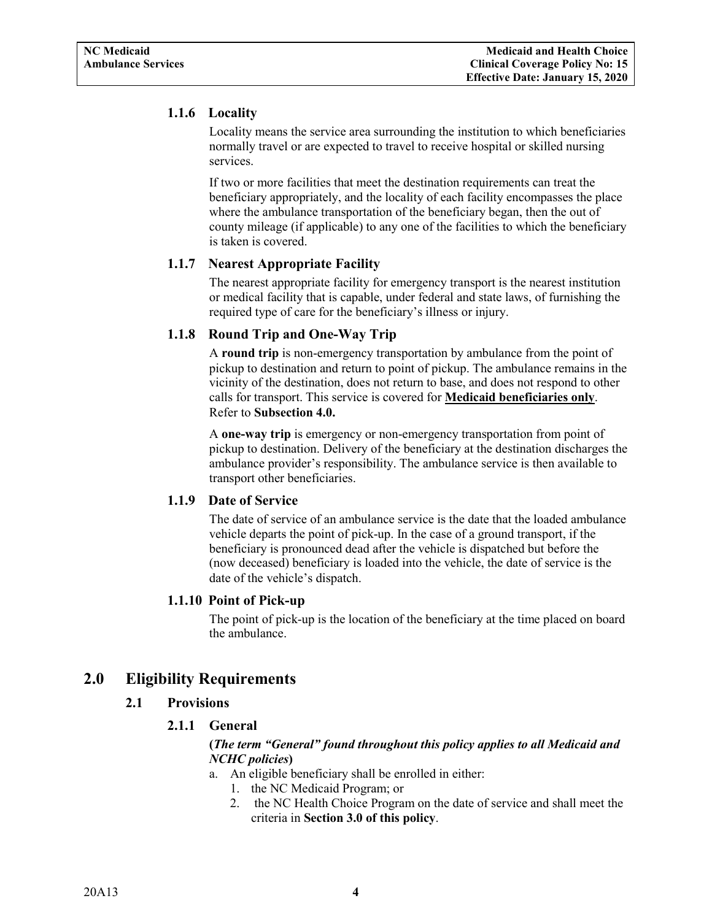# **1.1.6 Locality**

Locality means the service area surrounding the institution to which beneficiaries normally travel or are expected to travel to receive hospital or skilled nursing services.

If two or more facilities that meet the destination requirements can treat the beneficiary appropriately, and the locality of each facility encompasses the place where the ambulance transportation of the beneficiary began, then the out of county mileage (if applicable) to any one of the facilities to which the beneficiary is taken is covered.

# <span id="page-5-0"></span>**1.1.7 Nearest Appropriate Facility**

The nearest appropriate facility for emergency transport is the nearest institution or medical facility that is capable, under federal and state laws, of furnishing the required type of care for the beneficiary's illness or injury.

# <span id="page-5-1"></span>**1.1.8 Round Trip and One-Way Trip**

A **round trip** is non-emergency transportation by ambulance from the point of pickup to destination and return to point of pickup. The ambulance remains in the vicinity of the destination, does not return to base, and does not respond to other calls for transport. This service is covered for **Medicaid beneficiaries only**. Refer to **Subsection 4.0.**

A **one-way trip** is emergency or non-emergency transportation from point of pickup to destination. Delivery of the beneficiary at the destination discharges the ambulance provider's responsibility. The ambulance service is then available to transport other beneficiaries.

#### <span id="page-5-2"></span>**1.1.9 Date of Service**

The date of service of an ambulance service is the date that the loaded ambulance vehicle departs the point of pick-up. In the case of a ground transport, if the beneficiary is pronounced dead after the vehicle is dispatched but before the (now deceased) beneficiary is loaded into the vehicle, the date of service is the date of the vehicle's dispatch.

#### **1.1.10 Point of Pick-up**

The point of pick-up is the location of the beneficiary at the time placed on board the ambulance.

# <span id="page-5-6"></span><span id="page-5-5"></span><span id="page-5-4"></span><span id="page-5-3"></span>**2.0 Eligibility Requirements**

# **2.1 Provisions**

# **2.1.1 General**

# **(***The term "General" found throughout this policy applies to all Medicaid and NCHC policies***)**

- a. An eligible beneficiary shall be enrolled in either:
	- 1. the NC Medicaid Program; or
	- 2. the NC Health Choice Program on the date of service and shall meet the criteria in **Section 3.0 of this policy**.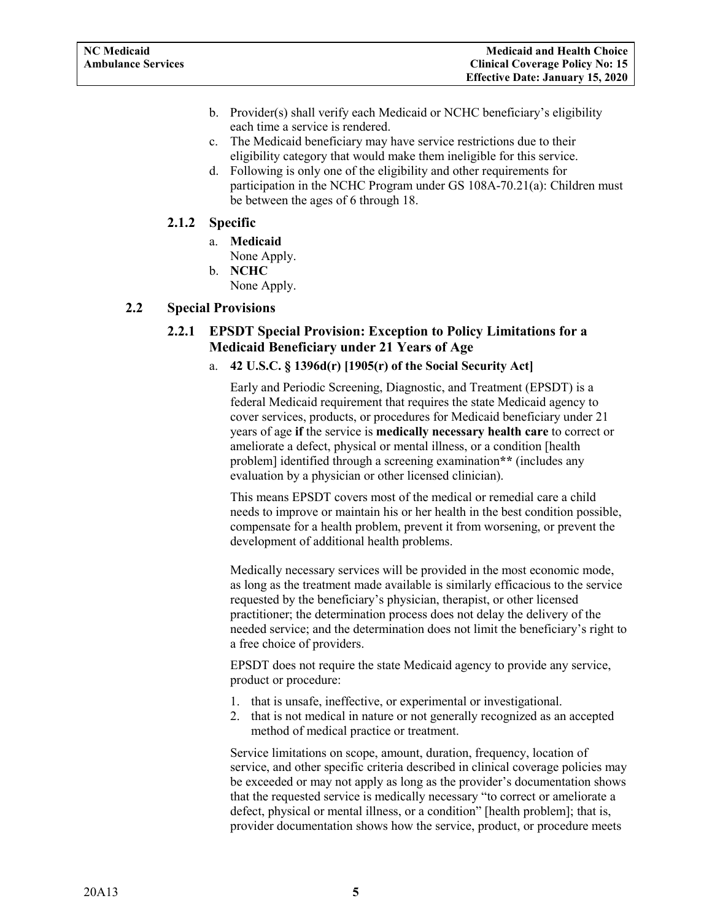- b. Provider(s) shall verify each Medicaid or NCHC beneficiary's eligibility each time a service is rendered.
- c. The Medicaid beneficiary may have service restrictions due to their eligibility category that would make them ineligible for this service.
- d. Following is only one of the eligibility and other requirements for participation in the NCHC Program under GS 108A-70.21(a): Children must be between the ages of 6 through 18.

#### <span id="page-6-0"></span>**2.1.2 Specific**

- a. **Medicaid** None Apply.
- b. **NCHC** None Apply.

#### <span id="page-6-2"></span><span id="page-6-1"></span>**2.2 Special Provisions**

# **2.2.1 EPSDT Special Provision: Exception to Policy Limitations for a Medicaid Beneficiary under 21 Years of Age**

#### a. **42 U.S.C. § 1396d(r) [1905(r) of the Social Security Act]**

Early and Periodic Screening, Diagnostic, and Treatment (EPSDT) is a federal Medicaid requirement that requires the state Medicaid agency to cover services, products, or procedures for Medicaid beneficiary under 21 years of age **if** the service is **medically necessary health care** to correct or ameliorate a defect, physical or mental illness, or a condition [health problem] identified through a screening examination**\*\*** (includes any evaluation by a physician or other licensed clinician).

This means EPSDT covers most of the medical or remedial care a child needs to improve or maintain his or her health in the best condition possible, compensate for a health problem, prevent it from worsening, or prevent the development of additional health problems.

Medically necessary services will be provided in the most economic mode, as long as the treatment made available is similarly efficacious to the service requested by the beneficiary's physician, therapist, or other licensed practitioner; the determination process does not delay the delivery of the needed service; and the determination does not limit the beneficiary's right to a free choice of providers.

EPSDT does not require the state Medicaid agency to provide any service, product or procedure:

- 1. that is unsafe, ineffective, or experimental or investigational.
- 2. that is not medical in nature or not generally recognized as an accepted method of medical practice or treatment.

Service limitations on scope, amount, duration, frequency, location of service, and other specific criteria described in clinical coverage policies may be exceeded or may not apply as long as the provider's documentation shows that the requested service is medically necessary "to correct or ameliorate a defect, physical or mental illness, or a condition" [health problem]; that is, provider documentation shows how the service, product, or procedure meets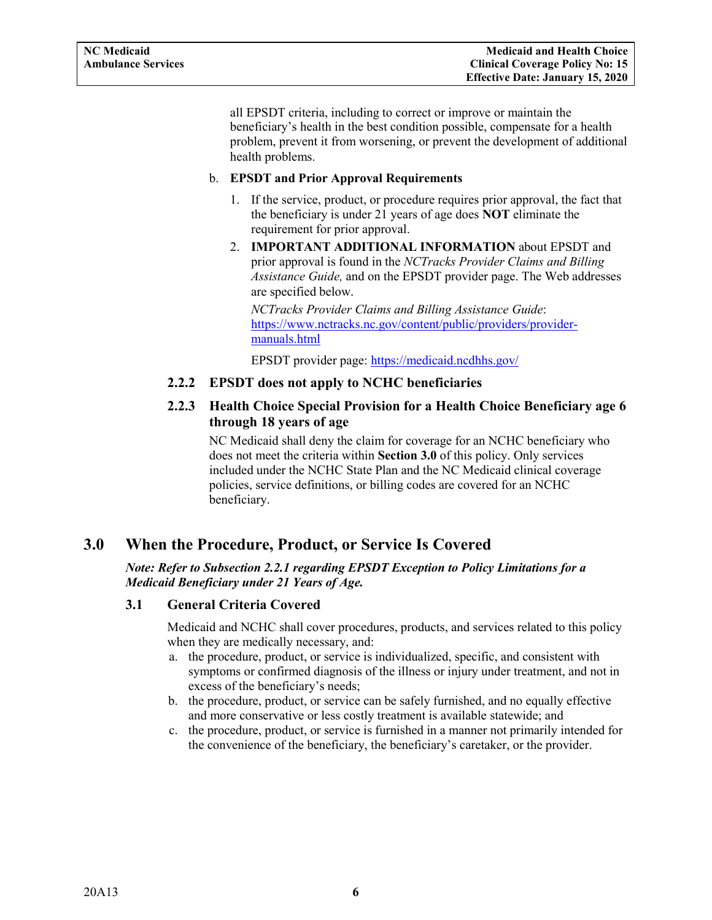<span id="page-7-4"></span>all EPSDT criteria, including to correct or improve or maintain the beneficiary's health in the best condition possible, compensate for a health problem, prevent it from worsening, or prevent the development of additional health problems.

#### b. **EPSDT and Prior Approval Requirements**

- 1. If the service, product, or procedure requires prior approval, the fact that the beneficiary is under 21 years of age does **NOT** eliminate the requirement for prior approval.
- 2. **IMPORTANT ADDITIONAL INFORMATION** about EPSDT and prior approval is found in the *NCTracks Provider Claims and Billing Assistance Guide,* and on the EPSDT provider page. The Web addresses are specified below.

*NCTracks Provider Claims and Billing Assistance Guide*: [https://www.nctracks.nc.gov/content/public/providers/provider](https://www.nctracks.nc.gov/content/public/providers/provider-manuals.html)[manuals.html](https://www.nctracks.nc.gov/content/public/providers/provider-manuals.html)

EPSDT provider page: <https://medicaid.ncdhhs.gov/>

# <span id="page-7-0"></span>**2.2.2 EPSDT does not apply to NCHC beneficiaries**

# <span id="page-7-1"></span>**2.2.3 Health Choice Special Provision for a Health Choice Beneficiary age 6 through 18 years of age**

NC Medicaid shall deny the claim for coverage for an NCHC beneficiary who does not meet the criteria within **Section 3.0** of this policy. Only services included under the NCHC State Plan and the NC Medicaid clinical coverage policies, service definitions, or billing codes are covered for an NCHC beneficiary.

# <span id="page-7-2"></span>**3.0 When the Procedure, Product, or Service Is Covered**

*Note: Refer to Subsection 2.2.1 regarding EPSDT Exception to Policy Limitations for a Medicaid Beneficiary under 21 Years of Age.*

#### <span id="page-7-3"></span>**3.1 General Criteria Covered**

Medicaid and NCHC shall cover procedures, products, and services related to this policy when they are medically necessary, and:

- a. the procedure, product, or service is individualized, specific, and consistent with symptoms or confirmed diagnosis of the illness or injury under treatment, and not in excess of the beneficiary's needs;
- b. the procedure, product, or service can be safely furnished, and no equally effective and more conservative or less costly treatment is available statewide; and
- c. the procedure, product, or service is furnished in a manner not primarily intended for the convenience of the beneficiary, the beneficiary's caretaker, or the provider.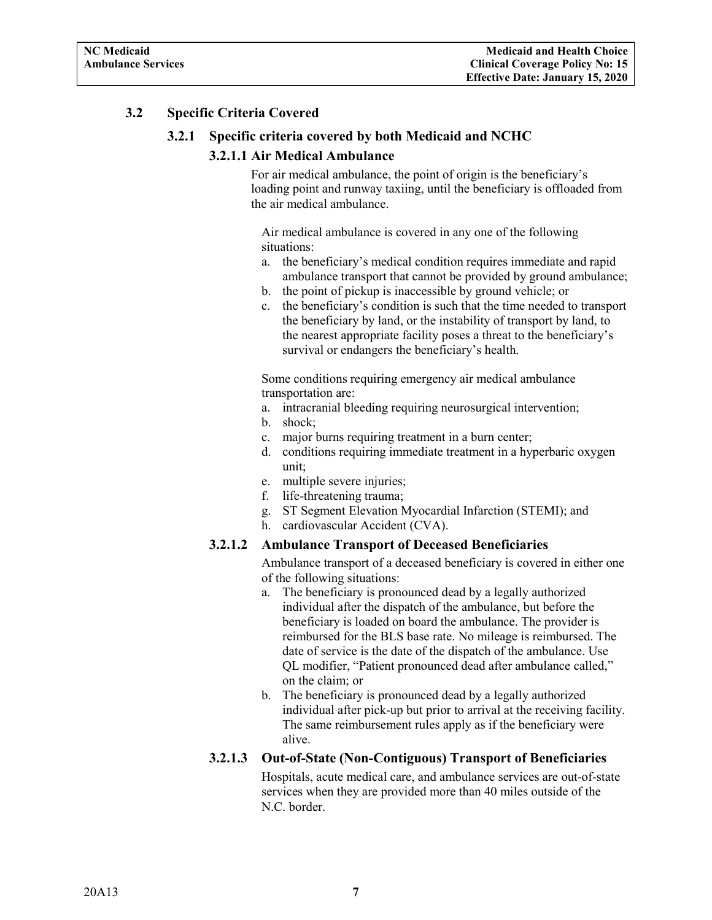# <span id="page-8-1"></span><span id="page-8-0"></span>**3.2 Specific Criteria Covered**

#### **3.2.1 Specific criteria covered by both Medicaid and NCHC**

#### **3.2.1.1 Air Medical Ambulance**

For air medical ambulance, the point of origin is the beneficiary's loading point and runway taxiing, until the beneficiary is offloaded from the air medical ambulance.

Air medical ambulance is covered in any one of the following situations:

- a. the beneficiary's medical condition requires immediate and rapid ambulance transport that cannot be provided by ground ambulance;
- b. the point of pickup is inaccessible by ground vehicle; or
- c. the beneficiary's condition is such that the time needed to transport the beneficiary by land, or the instability of transport by land, to the nearest appropriate facility poses a threat to the beneficiary's survival or endangers the beneficiary's health.

Some conditions requiring emergency air medical ambulance transportation are:

- a. intracranial bleeding requiring neurosurgical intervention;
- b. shock;
- c. major burns requiring treatment in a burn center;
- d. conditions requiring immediate treatment in a hyperbaric oxygen unit;
- e. multiple severe injuries;
- f. life-threatening trauma;
- g. ST Segment Elevation Myocardial Infarction (STEMI); and
- h. cardiovascular Accident (CVA).

#### <span id="page-8-2"></span>**3.2.1.2 Ambulance Transport of Deceased Beneficiaries**

Ambulance transport of a deceased beneficiary is covered in either one of the following situations:

- a. The beneficiary is pronounced dead by a legally authorized individual after the dispatch of the ambulance, but before the beneficiary is loaded on board the ambulance. The provider is reimbursed for the BLS base rate. No mileage is reimbursed. The date of service is the date of the dispatch of the ambulance. Use QL modifier, "Patient pronounced dead after ambulance called," on the claim; or
- b. The beneficiary is pronounced dead by a legally authorized individual after pick-up but prior to arrival at the receiving facility. The same reimbursement rules apply as if the beneficiary were alive.

#### <span id="page-8-3"></span>**3.2.1.3 Out-of-State (Non-Contiguous) Transport of Beneficiaries**

Hospitals, acute medical care, and ambulance services are out-of-state services when they are provided more than 40 miles outside of the N.C. border.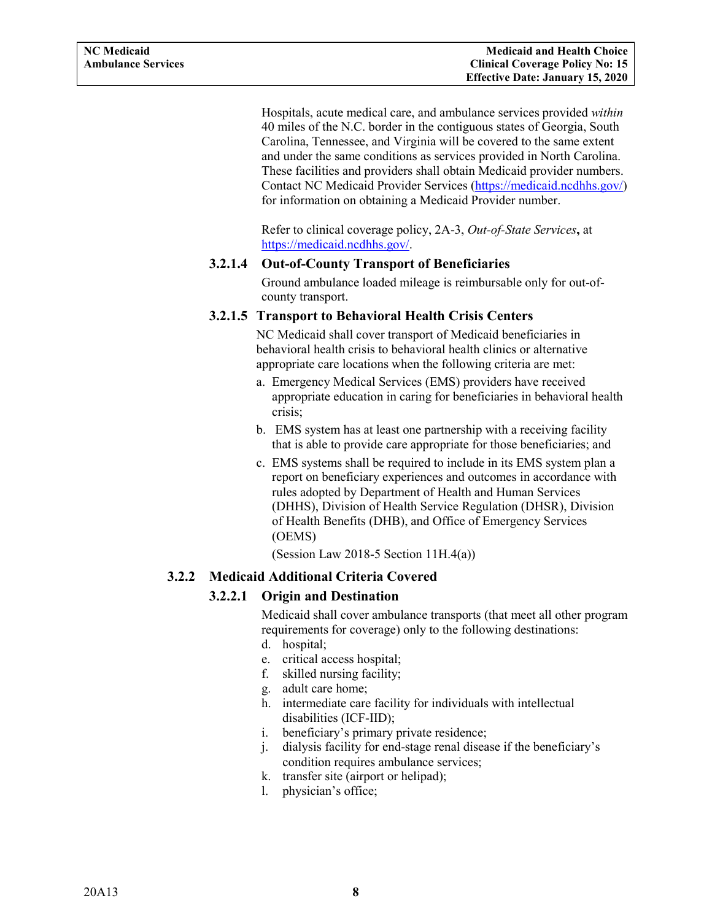Hospitals, acute medical care, and ambulance services provided *within* 40 miles of the N.C. border in the contiguous states of Georgia, South Carolina, Tennessee, and Virginia will be covered to the same extent and under the same conditions as services provided in North Carolina. These facilities and providers shall obtain Medicaid provider numbers. Contact NC Medicaid Provider Services [\(https://medicaid.ncdhhs.gov/\)](https://medicaid.ncdhhs.gov/) for information on obtaining a Medicaid Provider number.

Refer to clinical coverage policy, 2A-3, *Out-of-State Services***,** at [https://medicaid.ncdhhs.gov/.](https://medicaid.ncdhhs.gov/)

#### <span id="page-9-0"></span>**3.2.1.4 Out-of-County Transport of Beneficiaries**

Ground ambulance loaded mileage is reimbursable only for out-ofcounty transport.

#### <span id="page-9-1"></span>**3.2.1.5 Transport to Behavioral Health Crisis Centers**

NC Medicaid shall cover transport of Medicaid beneficiaries in behavioral health crisis to behavioral health clinics or alternative appropriate care locations when the following criteria are met:

- a. Emergency Medical Services (EMS) providers have received appropriate education in caring for beneficiaries in behavioral health crisis;
- b. EMS system has at least one partnership with a receiving facility that is able to provide care appropriate for those beneficiaries; and
- c. EMS systems shall be required to include in its EMS system plan a report on beneficiary experiences and outcomes in accordance with rules adopted by Department of Health and Human Services (DHHS), Division of Health Service Regulation (DHSR), Division of Health Benefits (DHB), and Office of Emergency Services (OEMS)

(Session Law 2018-5 Section  $11H.4(a)$ )

#### <span id="page-9-3"></span><span id="page-9-2"></span>**3.2.2 Medicaid Additional Criteria Covered**

# **3.2.2.1 Origin and Destination**

Medicaid shall cover ambulance transports (that meet all other program requirements for coverage) only to the following destinations:

- d. hospital;
- e. critical access hospital;
- f. skilled nursing facility;
- g. adult care home;
- h. intermediate care facility for individuals with intellectual disabilities (ICF-IID);
- i. beneficiary's primary private residence;
- j. dialysis facility for end-stage renal disease if the beneficiary's condition requires ambulance services;
- k. transfer site (airport or helipad);
- l. physician's office;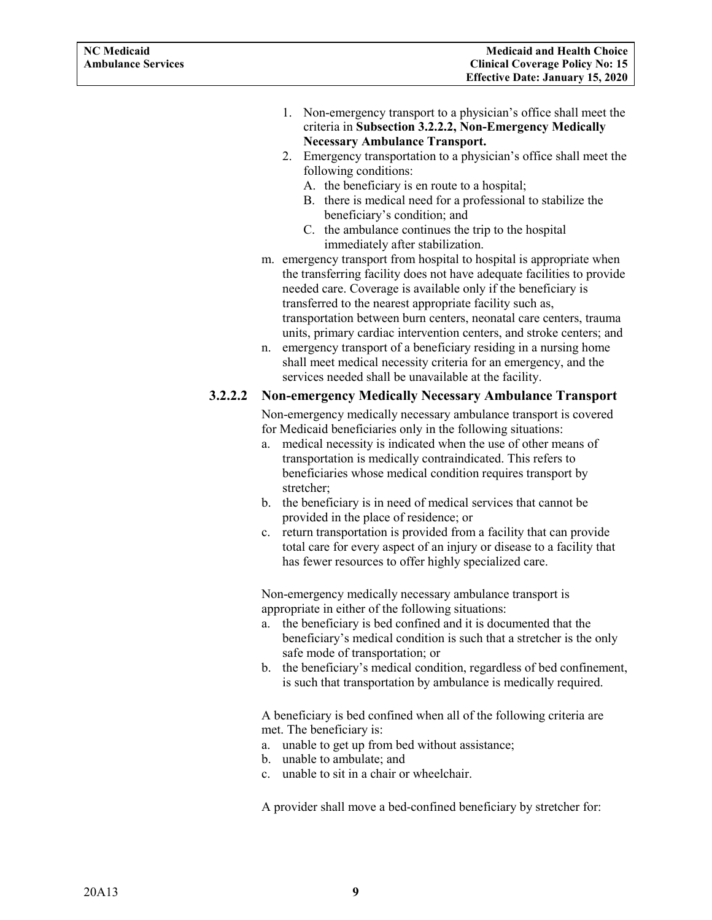- 1. Non-emergency transport to a physician's office shall meet the criteria in **Subsection 3.2.2.2, Non-Emergency Medically Necessary Ambulance Transport.**
- 2. Emergency transportation to a physician's office shall meet the following conditions:
	- A. the beneficiary is en route to a hospital;
	- B. there is medical need for a professional to stabilize the beneficiary's condition; and
	- C. the ambulance continues the trip to the hospital immediately after stabilization.
- m. emergency transport from hospital to hospital is appropriate when the transferring facility does not have adequate facilities to provide needed care. Coverage is available only if the beneficiary is transferred to the nearest appropriate facility such as, transportation between burn centers, neonatal care centers, trauma units, primary cardiac intervention centers, and stroke centers; and
- n. emergency transport of a beneficiary residing in a nursing home shall meet medical necessity criteria for an emergency, and the services needed shall be unavailable at the facility.

#### <span id="page-10-0"></span>**3.2.2.2 Non-emergency Medically Necessary Ambulance Transport**

Non-emergency medically necessary ambulance transport is covered for Medicaid beneficiaries only in the following situations:

- a. medical necessity is indicated when the use of other means of transportation is medically contraindicated. This refers to beneficiaries whose medical condition requires transport by stretcher;
- b. the beneficiary is in need of medical services that cannot be provided in the place of residence; or
- c. return transportation is provided from a facility that can provide total care for every aspect of an injury or disease to a facility that has fewer resources to offer highly specialized care.

Non-emergency medically necessary ambulance transport is appropriate in either of the following situations:

- a. the beneficiary is bed confined and it is documented that the beneficiary's medical condition is such that a stretcher is the only safe mode of transportation; or
- b. the beneficiary's medical condition, regardless of bed confinement, is such that transportation by ambulance is medically required.

A beneficiary is bed confined when all of the following criteria are met. The beneficiary is:

- a. unable to get up from bed without assistance;
- b. unable to ambulate; and
- c. unable to sit in a chair or wheelchair.

A provider shall move a bed-confined beneficiary by stretcher for: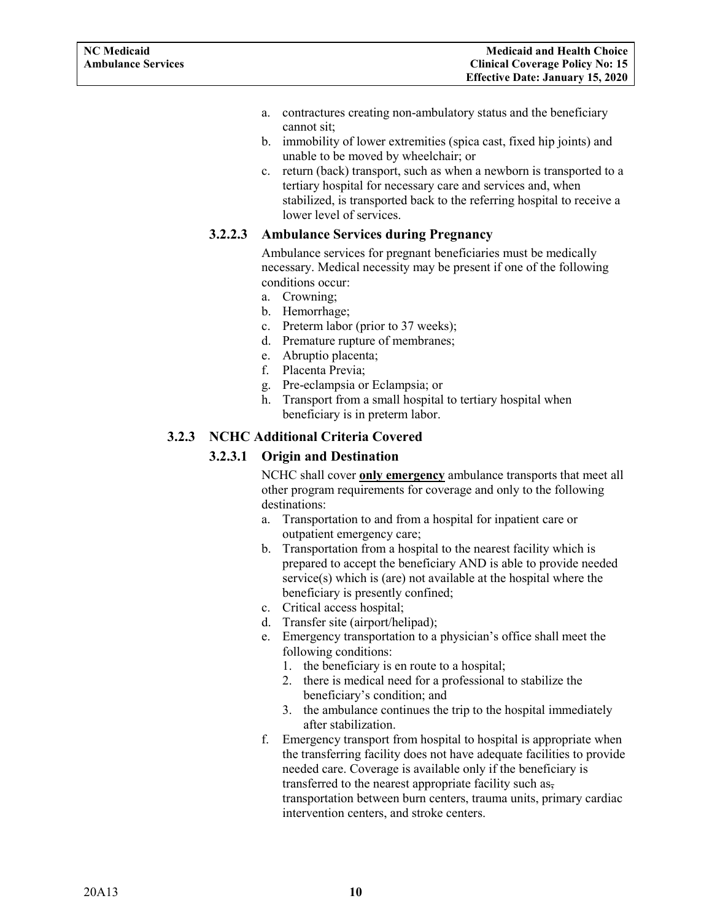- a. contractures creating non-ambulatory status and the beneficiary cannot sit;
- b. immobility of lower extremities (spica cast, fixed hip joints) and unable to be moved by wheelchair; or
- c. return (back) transport, such as when a newborn is transported to a tertiary hospital for necessary care and services and, when stabilized, is transported back to the referring hospital to receive a lower level of services.

# <span id="page-11-0"></span>**3.2.2.3 Ambulance Services during Pregnancy**

Ambulance services for pregnant beneficiaries must be medically necessary. Medical necessity may be present if one of the following conditions occur:

- a. Crowning;
- b. Hemorrhage;
- c. Preterm labor (prior to 37 weeks);
- d. Premature rupture of membranes;
- e. Abruptio placenta;
- f. Placenta Previa;
- g. Pre-eclampsia or Eclampsia; or
- h. Transport from a small hospital to tertiary hospital when beneficiary is in preterm labor.

# <span id="page-11-2"></span><span id="page-11-1"></span>**3.2.3 NCHC Additional Criteria Covered**

# **3.2.3.1 Origin and Destination**

NCHC shall cover **only emergency** ambulance transports that meet all other program requirements for coverage and only to the following destinations:

- a. Transportation to and from a hospital for inpatient care or outpatient emergency care;
- b. Transportation from a hospital to the nearest facility which is prepared to accept the beneficiary AND is able to provide needed service(s) which is (are) not available at the hospital where the beneficiary is presently confined;
- c. Critical access hospital;
- d. Transfer site (airport/helipad);
- e. Emergency transportation to a physician's office shall meet the following conditions:
	- 1. the beneficiary is en route to a hospital;
	- 2. there is medical need for a professional to stabilize the beneficiary's condition; and
	- 3. the ambulance continues the trip to the hospital immediately after stabilization.
- f. Emergency transport from hospital to hospital is appropriate when the transferring facility does not have adequate facilities to provide needed care. Coverage is available only if the beneficiary is transferred to the nearest appropriate facility such as, transportation between burn centers, trauma units, primary cardiac intervention centers, and stroke centers.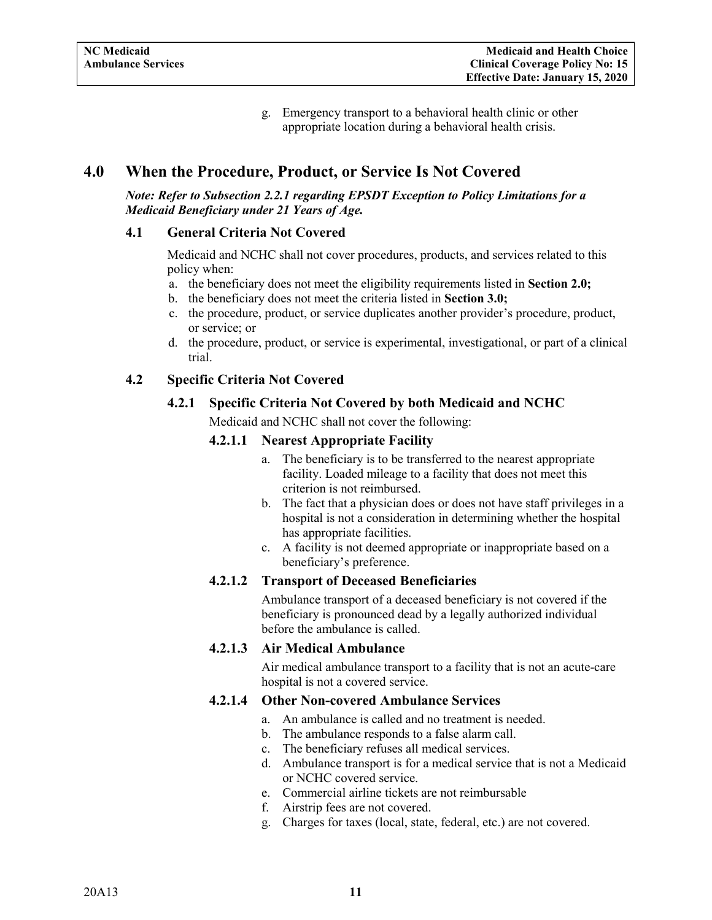g. Emergency transport to a behavioral health clinic or other appropriate location during a behavioral health crisis.

# <span id="page-12-0"></span>**4.0 When the Procedure, Product, or Service Is Not Covered**

*Note: Refer to Subsection 2.2.1 regarding EPSDT Exception to Policy Limitations for a Medicaid Beneficiary under 21 Years of Age.*

#### <span id="page-12-1"></span>**4.1 General Criteria Not Covered**

Medicaid and NCHC shall not cover procedures, products, and services related to this policy when:

- a. the beneficiary does not meet the eligibility requirements listed in **Section 2.0;**
- b. the beneficiary does not meet the criteria listed in **Section 3.0;**
- c. the procedure, product, or service duplicates another provider's procedure, product, or service; or
- d. the procedure, product, or service is experimental, investigational, or part of a clinical trial.

# <span id="page-12-4"></span><span id="page-12-3"></span><span id="page-12-2"></span>**4.2 Specific Criteria Not Covered**

#### **4.2.1 Specific Criteria Not Covered by both Medicaid and NCHC**

Medicaid and NCHC shall not cover the following:

#### **4.2.1.1 Nearest Appropriate Facility**

- a. The beneficiary is to be transferred to the nearest appropriate facility. Loaded mileage to a facility that does not meet this criterion is not reimbursed.
- b. The fact that a physician does or does not have staff privileges in a hospital is not a consideration in determining whether the hospital has appropriate facilities.
- c. A facility is not deemed appropriate or inappropriate based on a beneficiary's preference.

# <span id="page-12-5"></span>**4.2.1.2 Transport of Deceased Beneficiaries**

Ambulance transport of a deceased beneficiary is not covered if the beneficiary is pronounced dead by a legally authorized individual before the ambulance is called.

# <span id="page-12-6"></span>**4.2.1.3 Air Medical Ambulance**

Air medical ambulance transport to a facility that is not an acute-care hospital is not a covered service.

#### <span id="page-12-7"></span>**4.2.1.4 Other Non-covered Ambulance Services**

- a. An ambulance is called and no treatment is needed.
- b. The ambulance responds to a false alarm call.
- c. The beneficiary refuses all medical services.
- d. Ambulance transport is for a medical service that is not a Medicaid or NCHC covered service.
- e. Commercial airline tickets are not reimbursable
- f. Airstrip fees are not covered.
- g. Charges for taxes (local, state, federal, etc.) are not covered.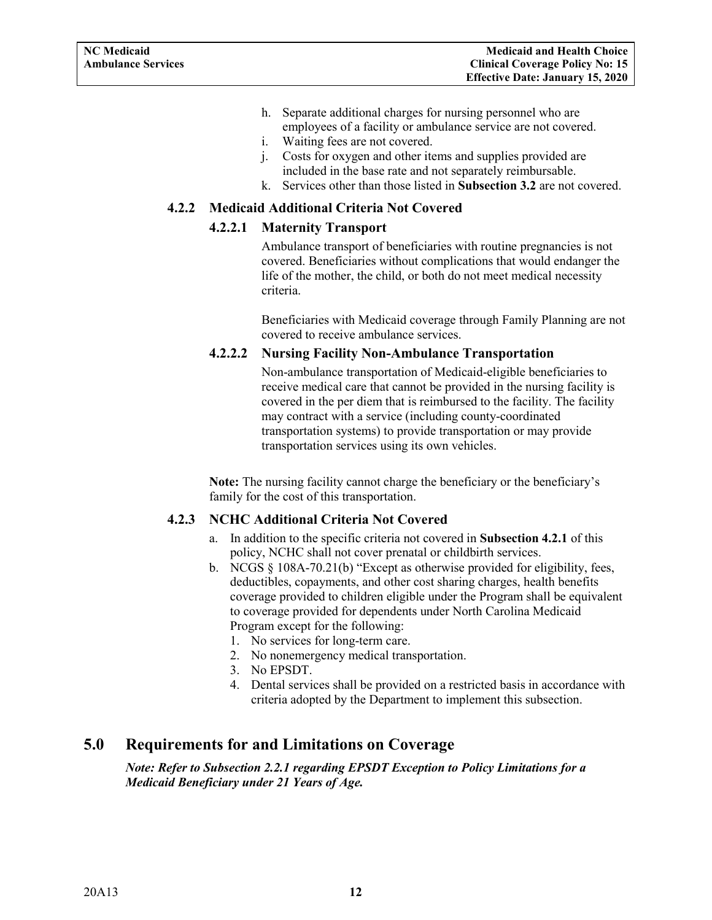- h. Separate additional charges for nursing personnel who are employees of a facility or ambulance service are not covered.
- i. Waiting fees are not covered.
- j. Costs for oxygen and other items and supplies provided are included in the base rate and not separately reimbursable.
- k. Services other than those listed in **Subsection 3.2** are not covered.

## <span id="page-13-5"></span><span id="page-13-1"></span><span id="page-13-0"></span>**4.2.2 Medicaid Additional Criteria Not Covered**

#### **4.2.2.1 Maternity Transport**

Ambulance transport of beneficiaries with routine pregnancies is not covered. Beneficiaries without complications that would endanger the life of the mother, the child, or both do not meet medical necessity criteria.

Beneficiaries with Medicaid coverage through Family Planning are not covered to receive ambulance services.

#### <span id="page-13-2"></span>**4.2.2.2 Nursing Facility Non-Ambulance Transportation**

Non-ambulance transportation of Medicaid-eligible beneficiaries to receive medical care that cannot be provided in the nursing facility is covered in the per diem that is reimbursed to the facility. The facility may contract with a service (including county-coordinated transportation systems) to provide transportation or may provide transportation services using its own vehicles.

**Note:** The nursing facility cannot charge the beneficiary or the beneficiary's family for the cost of this transportation.

#### <span id="page-13-3"></span>**4.2.3 NCHC Additional Criteria Not Covered**

- a. In addition to the specific criteria not covered in **Subsection 4.2.1** of this policy, NCHC shall not cover prenatal or childbirth services.
- <span id="page-13-4"></span>b. NCGS  $\S$  108A-70.21(b) "Except as otherwise provided for eligibility, fees, deductibles, copayments, and other cost sharing charges, health benefits coverage provided to children eligible under the Program shall be equivalent to coverage provided for dependents under North Carolina Medicaid Program except for the following:
	- 1. No services for long-term care.
	- 2. No nonemergency medical transportation.
	- 3. No EPSDT.
	- 4. Dental services shall be provided on a restricted basis in accordance with criteria adopted by the Department to implement this subsection.

# **5.0 Requirements for and Limitations on Coverage**

#### *Note: Refer to Subsection 2.2.1 regarding EPSDT Exception to Policy Limitations for a Medicaid Beneficiary under 21 Years of Age.*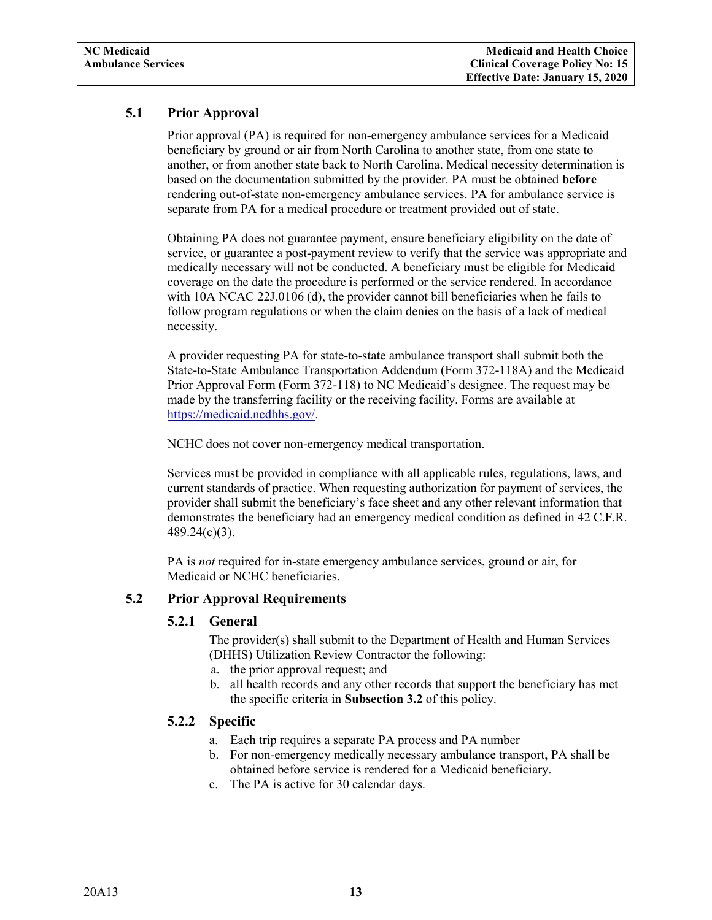# <span id="page-14-3"></span>**5.1 Prior Approval**

Prior approval (PA) is required for non-emergency ambulance services for a Medicaid beneficiary by ground or air from North Carolina to another state, from one state to another, or from another state back to North Carolina. Medical necessity determination is based on the documentation submitted by the provider. PA must be obtained **before**  rendering out-of-state non-emergency ambulance services. PA for ambulance service is separate from PA for a medical procedure or treatment provided out of state.

Obtaining PA does not guarantee payment, ensure beneficiary eligibility on the date of service, or guarantee a post-payment review to verify that the service was appropriate and medically necessary will not be conducted. A beneficiary must be eligible for Medicaid coverage on the date the procedure is performed or the service rendered. In accordance with 10A NCAC 22J.0106 (d), the provider cannot bill beneficiaries when he fails to follow program regulations or when the claim denies on the basis of a lack of medical necessity.

A provider requesting PA for state-to-state ambulance transport shall submit both the State-to-State Ambulance Transportation Addendum (Form 372-118A) and the Medicaid Prior Approval Form (Form 372-118) to NC Medicaid's designee. The request may be made by the transferring facility or the receiving facility. Forms are available at [https://medicaid.ncdhhs.gov/.](https://medicaid.ncdhhs.gov/)

NCHC does not cover non-emergency medical transportation.

Services must be provided in compliance with all applicable rules, regulations, laws, and current standards of practice. When requesting authorization for payment of services, the provider shall submit the beneficiary's face sheet and any other relevant information that demonstrates the beneficiary had an emergency medical condition as defined in 42 C.F.R. 489.24(c)(3).

PA is *not* required for in-state emergency ambulance services, ground or air, for Medicaid or NCHC beneficiaries.

#### <span id="page-14-1"></span><span id="page-14-0"></span>**5.2 Prior Approval Requirements**

#### **5.2.1 General**

The provider(s) shall submit to the Department of Health and Human Services (DHHS) Utilization Review Contractor the following:

- a. the prior approval request; and
- b. all health records and any other records that support the beneficiary has met the specific criteria in **Subsection 3.2** of this policy.

#### <span id="page-14-2"></span>**5.2.2 Specific**

- a. Each trip requires a separate PA process and PA number
- b. For non-emergency medically necessary ambulance transport, PA shall be obtained before service is rendered for a Medicaid beneficiary.
- c. The PA is active for 30 calendar days.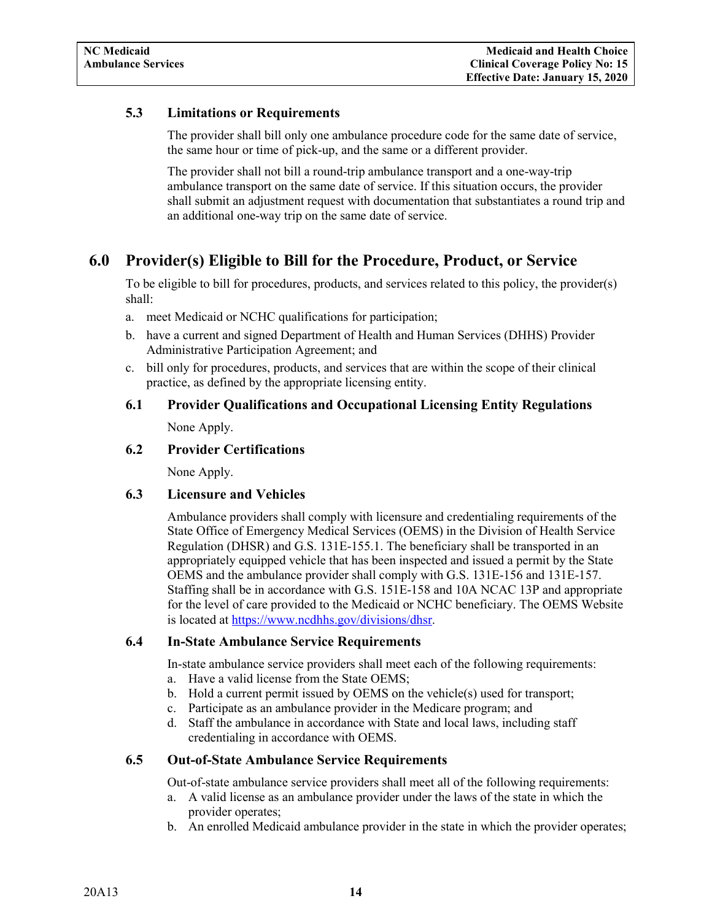# **5.3 Limitations or Requirements**

The provider shall bill only one ambulance procedure code for the same date of service, the same hour or time of pick-up, and the same or a different provider.

The provider shall not bill a round-trip ambulance transport and a one-way-trip ambulance transport on the same date of service. If this situation occurs, the provider shall submit an adjustment request with documentation that substantiates a round trip and an additional one-way trip on the same date of service.

# <span id="page-15-0"></span>**6.0 Provider(s) Eligible to Bill for the Procedure, Product, or Service**

To be eligible to bill for procedures, products, and services related to this policy, the provider(s) shall:

- a. meet Medicaid or NCHC qualifications for participation;
- b. have a current and signed Department of Health and Human Services (DHHS) Provider Administrative Participation Agreement; and
- c. bill only for procedures, products, and services that are within the scope of their clinical practice, as defined by the appropriate licensing entity.

# <span id="page-15-1"></span>**6.1 Provider Qualifications and Occupational Licensing Entity Regulations**

None Apply.

# <span id="page-15-2"></span>**6.2 Provider Certifications**

None Apply.

#### <span id="page-15-3"></span>**6.3 Licensure and Vehicles**

Ambulance providers shall comply with licensure and credentialing requirements of the State Office of Emergency Medical Services (OEMS) in the Division of Health Service Regulation (DHSR) and G.S. 131E-155.1. The beneficiary shall be transported in an appropriately equipped vehicle that has been inspected and issued a permit by the State OEMS and the ambulance provider shall comply with G.S. 131E-156 and 131E-157. Staffing shall be in accordance with G.S. 151E-158 and 10A NCAC 13P and appropriate for the level of care provided to the Medicaid or NCHC beneficiary. The OEMS Website is located at [https://www.ncdhhs.gov/divisions/dhsr.](https://www.ncdhhs.gov/divisions/dhsr)

#### <span id="page-15-4"></span>**6.4 In-State Ambulance Service Requirements**

In-state ambulance service providers shall meet each of the following requirements:

- a. Have a valid license from the State OEMS;
- b. Hold a current permit issued by OEMS on the vehicle(s) used for transport;
- c. Participate as an ambulance provider in the Medicare program; and
- d. Staff the ambulance in accordance with State and local laws, including staff credentialing in accordance with OEMS.

# <span id="page-15-5"></span>**6.5 Out-of-State Ambulance Service Requirements**

Out-of-state ambulance service providers shall meet all of the following requirements:

- a. A valid license as an ambulance provider under the laws of the state in which the provider operates;
- b. An enrolled Medicaid ambulance provider in the state in which the provider operates;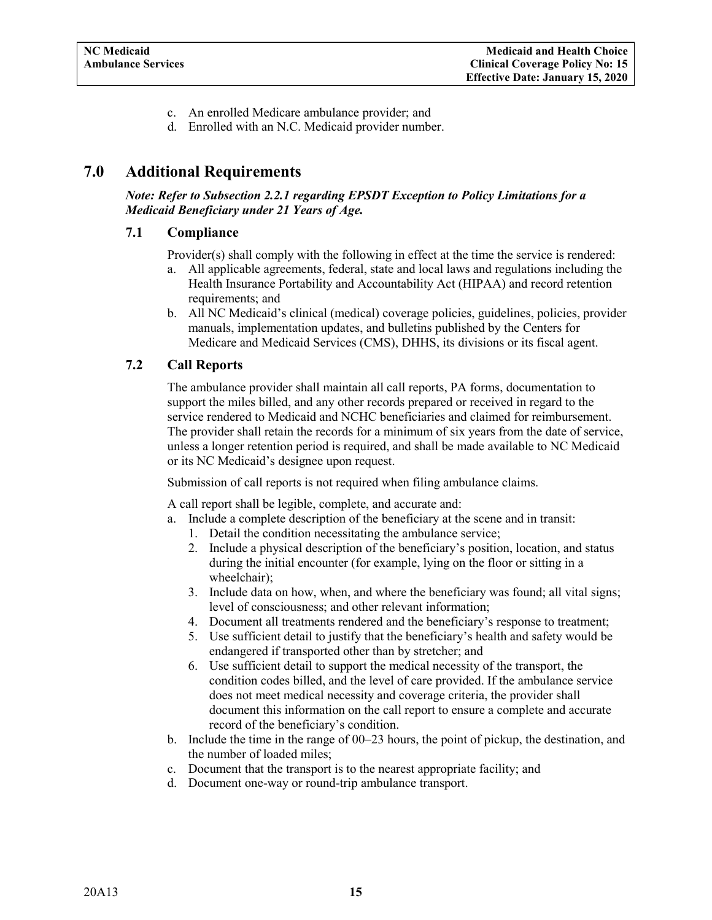- c. An enrolled Medicare ambulance provider; and
- d. Enrolled with an N.C. Medicaid provider number.

# <span id="page-16-3"></span><span id="page-16-0"></span>**7.0 Additional Requirements**

*Note: Refer to Subsection 2.2.1 regarding EPSDT Exception to Policy Limitations for a Medicaid Beneficiary under 21 Years of Age.*

#### <span id="page-16-1"></span>**7.1 Compliance**

Provider(s) shall comply with the following in effect at the time the service is rendered:

- a. All applicable agreements, federal, state and local laws and regulations including the Health Insurance Portability and Accountability Act (HIPAA) and record retention requirements; and
- b. All NC Medicaid's clinical (medical) coverage policies, guidelines, policies, provider manuals, implementation updates, and bulletins published by the Centers for Medicare and Medicaid Services (CMS), DHHS, its divisions or its fiscal agent.

# <span id="page-16-2"></span>**7.2 Call Reports**

The ambulance provider shall maintain all call reports, PA forms, documentation to support the miles billed, and any other records prepared or received in regard to the service rendered to Medicaid and NCHC beneficiaries and claimed for reimbursement. The provider shall retain the records for a minimum of six years from the date of service, unless a longer retention period is required, and shall be made available to NC Medicaid or its NC Medicaid's designee upon request.

Submission of call reports is not required when filing ambulance claims.

A call report shall be legible, complete, and accurate and:

- a. Include a complete description of the beneficiary at the scene and in transit:
	- 1. Detail the condition necessitating the ambulance service;
	- 2. Include a physical description of the beneficiary's position, location, and status during the initial encounter (for example, lying on the floor or sitting in a wheelchair);
	- 3. Include data on how, when, and where the beneficiary was found; all vital signs; level of consciousness; and other relevant information;
	- 4. Document all treatments rendered and the beneficiary's response to treatment;
	- 5. Use sufficient detail to justify that the beneficiary's health and safety would be endangered if transported other than by stretcher; and
	- 6. Use sufficient detail to support the medical necessity of the transport, the condition codes billed, and the level of care provided. If the ambulance service does not meet medical necessity and coverage criteria, the provider shall document this information on the call report to ensure a complete and accurate record of the beneficiary's condition.
- b. Include the time in the range of 00–23 hours, the point of pickup, the destination, and the number of loaded miles;
- c. Document that the transport is to the nearest appropriate facility; and
- d. Document one-way or round-trip ambulance transport.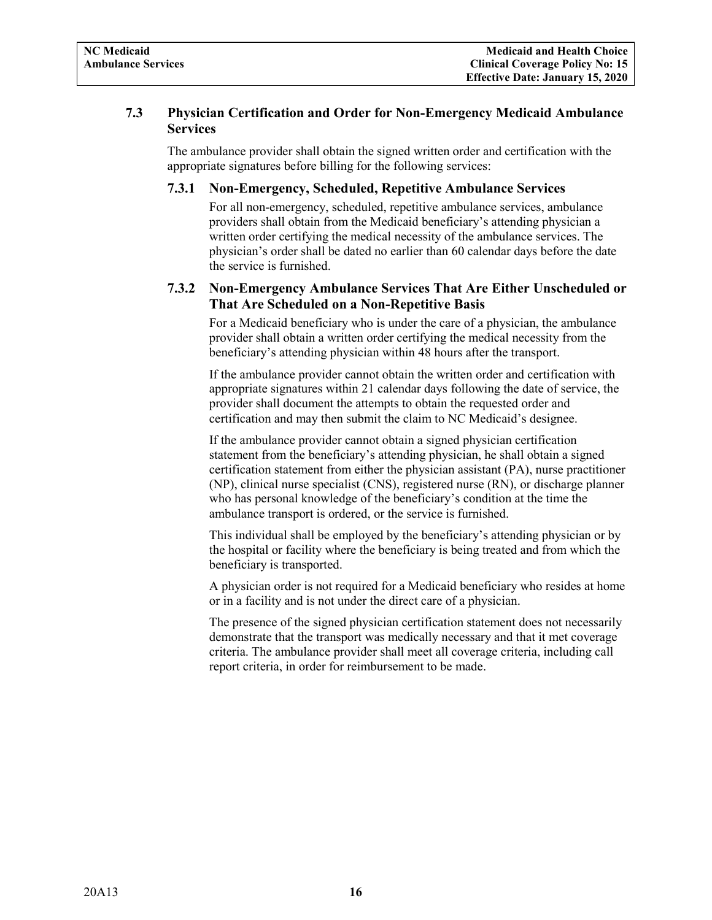## <span id="page-17-0"></span>**7.3 Physician Certification and Order for Non-Emergency Medicaid Ambulance Services**

The ambulance provider shall obtain the signed written order and certification with the appropriate signatures before billing for the following services:

## **7.3.1 Non-Emergency, Scheduled, Repetitive Ambulance Services**

For all non-emergency, scheduled, repetitive ambulance services, ambulance providers shall obtain from the Medicaid beneficiary's attending physician a written order certifying the medical necessity of the ambulance services. The physician's order shall be dated no earlier than 60 calendar days before the date the service is furnished.

# <span id="page-17-1"></span>**7.3.2 Non-Emergency Ambulance Services That Are Either Unscheduled or That Are Scheduled on a Non-Repetitive Basis**

For a Medicaid beneficiary who is under the care of a physician, the ambulance provider shall obtain a written order certifying the medical necessity from the beneficiary's attending physician within 48 hours after the transport.

If the ambulance provider cannot obtain the written order and certification with appropriate signatures within 21 calendar days following the date of service, the provider shall document the attempts to obtain the requested order and certification and may then submit the claim to NC Medicaid's designee.

If the ambulance provider cannot obtain a signed physician certification statement from the beneficiary's attending physician, he shall obtain a signed certification statement from either the physician assistant (PA), nurse practitioner (NP), clinical nurse specialist (CNS), registered nurse (RN), or discharge planner who has personal knowledge of the beneficiary's condition at the time the ambulance transport is ordered, or the service is furnished.

This individual shall be employed by the beneficiary's attending physician or by the hospital or facility where the beneficiary is being treated and from which the beneficiary is transported.

A physician order is not required for a Medicaid beneficiary who resides at home or in a facility and is not under the direct care of a physician.

The presence of the signed physician certification statement does not necessarily demonstrate that the transport was medically necessary and that it met coverage criteria. The ambulance provider shall meet all coverage criteria, including call report criteria, in order for reimbursement to be made.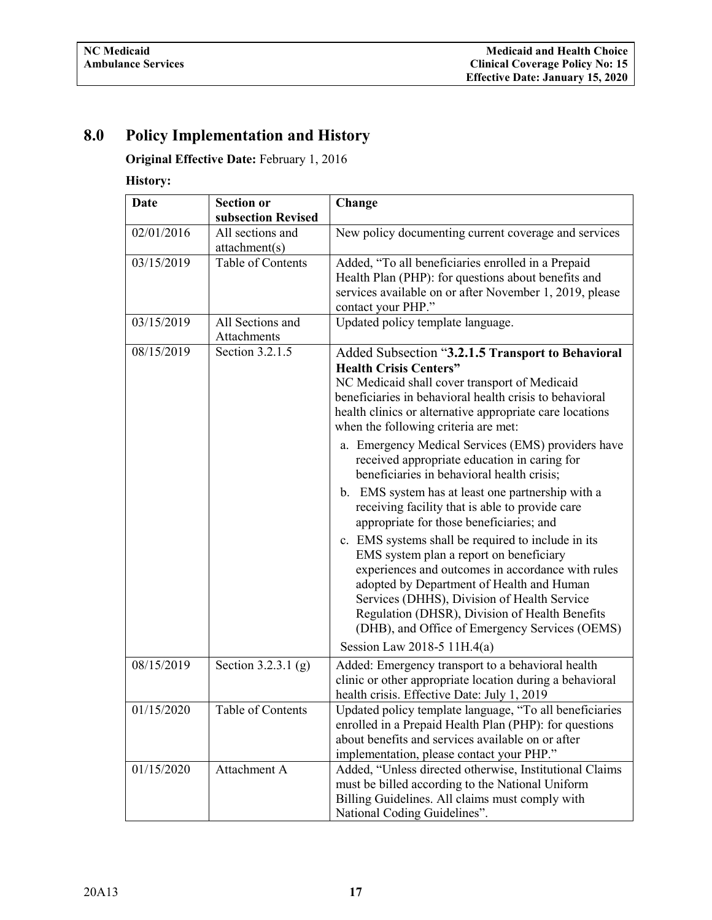# <span id="page-18-0"></span>**8.0 Policy Implementation and History**

**Original Effective Date:** February 1, 2016

**History:**

| <b>Date</b>                                           | <b>Section or</b>                 | Change                                                                                                                                                                                                                                                                                                                                                                                                                                                                                                                                                                                                                                                                                                                                                                                                                                                                                                                                                                                          |  |
|-------------------------------------------------------|-----------------------------------|-------------------------------------------------------------------------------------------------------------------------------------------------------------------------------------------------------------------------------------------------------------------------------------------------------------------------------------------------------------------------------------------------------------------------------------------------------------------------------------------------------------------------------------------------------------------------------------------------------------------------------------------------------------------------------------------------------------------------------------------------------------------------------------------------------------------------------------------------------------------------------------------------------------------------------------------------------------------------------------------------|--|
|                                                       | subsection Revised                |                                                                                                                                                                                                                                                                                                                                                                                                                                                                                                                                                                                                                                                                                                                                                                                                                                                                                                                                                                                                 |  |
| 02/01/2016                                            | All sections and<br>attachment(s) | New policy documenting current coverage and services                                                                                                                                                                                                                                                                                                                                                                                                                                                                                                                                                                                                                                                                                                                                                                                                                                                                                                                                            |  |
| Table of Contents<br>03/15/2019<br>contact your PHP." |                                   | Added, "To all beneficiaries enrolled in a Prepaid<br>Health Plan (PHP): for questions about benefits and<br>services available on or after November 1, 2019, please                                                                                                                                                                                                                                                                                                                                                                                                                                                                                                                                                                                                                                                                                                                                                                                                                            |  |
| 03/15/2019                                            | All Sections and<br>Attachments   | Updated policy template language.                                                                                                                                                                                                                                                                                                                                                                                                                                                                                                                                                                                                                                                                                                                                                                                                                                                                                                                                                               |  |
| 08/15/2019                                            | Section 3.2.1.5                   | Added Subsection "3.2.1.5 Transport to Behavioral<br><b>Health Crisis Centers"</b><br>NC Medicaid shall cover transport of Medicaid<br>beneficiaries in behavioral health crisis to behavioral<br>health clinics or alternative appropriate care locations<br>when the following criteria are met:<br>a. Emergency Medical Services (EMS) providers have<br>received appropriate education in caring for<br>beneficiaries in behavioral health crisis;<br>b. EMS system has at least one partnership with a<br>receiving facility that is able to provide care<br>appropriate for those beneficiaries; and<br>c. EMS systems shall be required to include in its<br>EMS system plan a report on beneficiary<br>experiences and outcomes in accordance with rules<br>adopted by Department of Health and Human<br>Services (DHHS), Division of Health Service<br>Regulation (DHSR), Division of Health Benefits<br>(DHB), and Office of Emergency Services (OEMS)<br>Session Law 2018-5 11H.4(a) |  |
| 08/15/2019                                            | Section 3.2.3.1 (g)               | Added: Emergency transport to a behavioral health<br>clinic or other appropriate location during a behavioral<br>health crisis. Effective Date: July 1, 2019                                                                                                                                                                                                                                                                                                                                                                                                                                                                                                                                                                                                                                                                                                                                                                                                                                    |  |
| 01/15/2020                                            | Table of Contents                 | Updated policy template language, "To all beneficiaries<br>enrolled in a Prepaid Health Plan (PHP): for questions<br>about benefits and services available on or after<br>implementation, please contact your PHP."                                                                                                                                                                                                                                                                                                                                                                                                                                                                                                                                                                                                                                                                                                                                                                             |  |
| 01/15/2020                                            | Attachment A                      | Added, "Unless directed otherwise, Institutional Claims<br>must be billed according to the National Uniform<br>Billing Guidelines. All claims must comply with<br>National Coding Guidelines".                                                                                                                                                                                                                                                                                                                                                                                                                                                                                                                                                                                                                                                                                                                                                                                                  |  |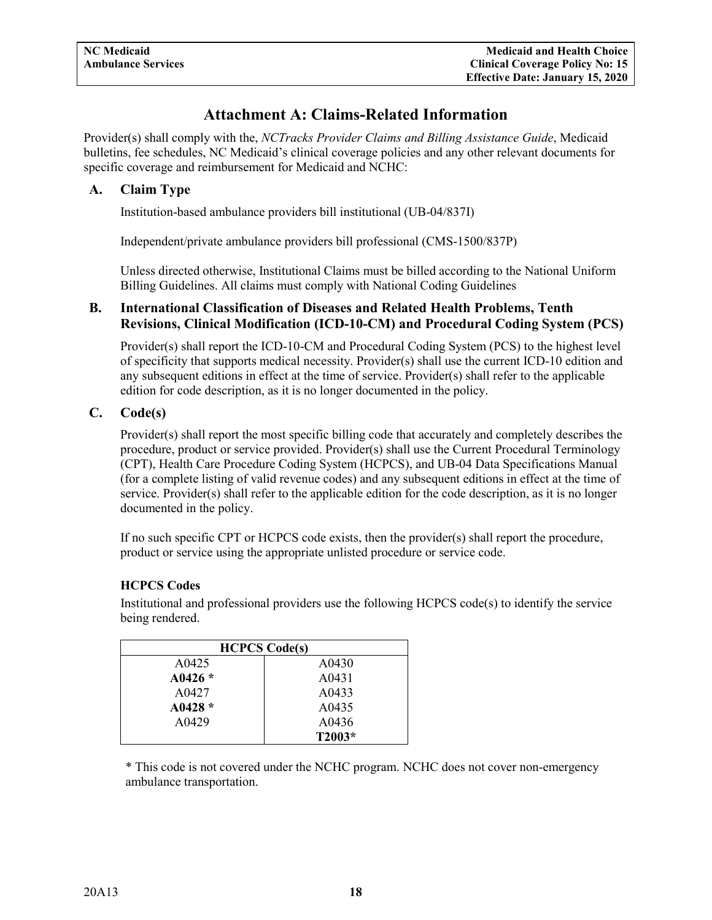# **Attachment A: Claims-Related Information**

<span id="page-19-0"></span>Provider(s) shall comply with the, *NCTracks Provider Claims and Billing Assistance Guide*, Medicaid bulletins, fee schedules, NC Medicaid's clinical coverage policies and any other relevant documents for specific coverage and reimbursement for Medicaid and NCHC:

# <span id="page-19-1"></span>**A. Claim Type**

Institution-based ambulance providers bill institutional (UB-04/837I)

Independent/private ambulance providers bill professional (CMS-1500/837P)

Unless directed otherwise, Institutional Claims must be billed according to the National Uniform Billing Guidelines. All claims must comply with National Coding Guidelines

#### <span id="page-19-2"></span>**B. International Classification of Diseases and Related Health Problems, Tenth Revisions, Clinical Modification (ICD-10-CM) and Procedural Coding System (PCS)**

Provider(s) shall report the ICD-10-CM and Procedural Coding System (PCS) to the highest level of specificity that supports medical necessity. Provider(s) shall use the current ICD-10 edition and any subsequent editions in effect at the time of service. Provider(s) shall refer to the applicable edition for code description, as it is no longer documented in the policy.

# <span id="page-19-3"></span>**C. Code(s)**

Provider(s) shall report the most specific billing code that accurately and completely describes the procedure, product or service provided. Provider(s) shall use the Current Procedural Terminology (CPT), Health Care Procedure Coding System (HCPCS), and UB-04 Data Specifications Manual (for a complete listing of valid revenue codes) and any subsequent editions in effect at the time of service. Provider(s) shall refer to the applicable edition for the code description, as it is no longer documented in the policy.

If no such specific CPT or HCPCS code exists, then the provider(s) shall report the procedure, product or service using the appropriate unlisted procedure or service code.

#### **HCPCS Codes**

Institutional and professional providers use the following  $HCPCS code(s)$  to identify the service being rendered.

| <b>HCPCS Code(s)</b> |        |  |  |
|----------------------|--------|--|--|
| A0425                | A0430  |  |  |
| A0426 $*$            | A0431  |  |  |
| A0427                | A0433  |  |  |
| A0428 $*$            | A0435  |  |  |
| A0429                | A0436  |  |  |
|                      | T2003* |  |  |

\* This code is not covered under the NCHC program. NCHC does not cover non-emergency ambulance transportation.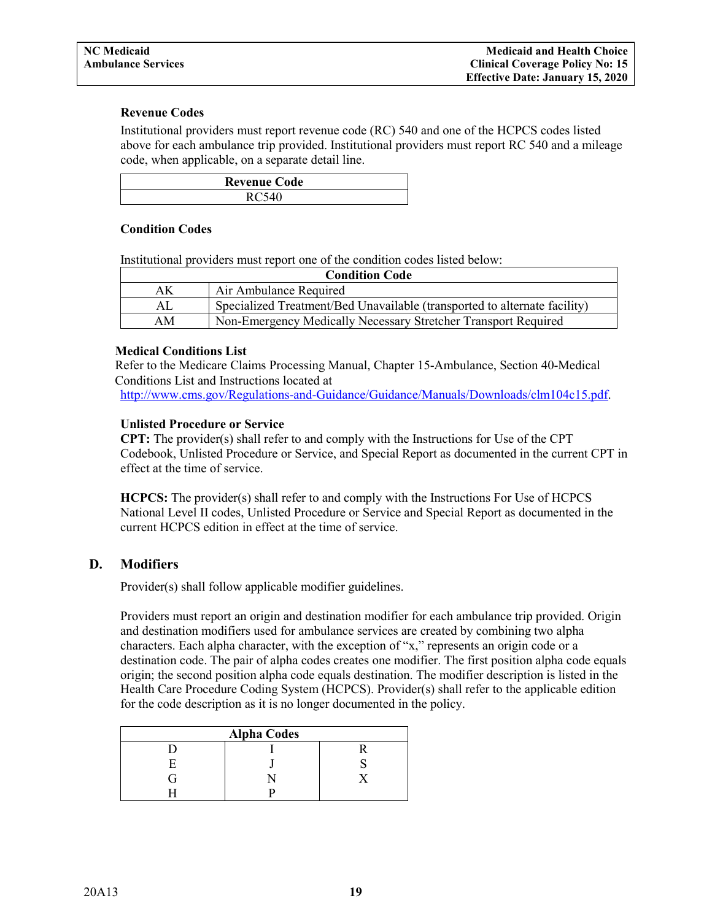#### **Revenue Codes**

Institutional providers must report revenue code (RC) 540 and one of the HCPCS codes listed above for each ambulance trip provided. Institutional providers must report RC 540 and a mileage code, when applicable, on a separate detail line.

| <b>Revenue Code</b> |  |  |
|---------------------|--|--|
| $D \cap 540$        |  |  |

#### **Condition Codes**

Institutional providers must report one of the condition codes listed below:

| <b>Condition Code</b>                                                |                                                                           |  |  |
|----------------------------------------------------------------------|---------------------------------------------------------------------------|--|--|
| ΑK                                                                   | Air Ambulance Required                                                    |  |  |
| ΑL                                                                   | Specialized Treatment/Bed Unavailable (transported to alternate facility) |  |  |
| Non-Emergency Medically Necessary Stretcher Transport Required<br>ΑM |                                                                           |  |  |

#### **Medical Conditions List**

Refer to the Medicare Claims Processing Manual, Chapter 15-Ambulance, Section 40-Medical Conditions List and Instructions located at

[http://www.cms.gov/Regulations-and-Guidance/Guidance/Manuals/Downloads/clm104c15.pdf.](http://www.cms.gov/Regulations-and-Guidance/Guidance/Manuals/Downloads/clm104c15.pdf)

#### **Unlisted Procedure or Service**

**CPT:** The provider(s) shall refer to and comply with the Instructions for Use of the CPT Codebook, Unlisted Procedure or Service, and Special Report as documented in the current CPT in effect at the time of service.

**HCPCS:** The provider(s) shall refer to and comply with the Instructions For Use of HCPCS National Level II codes, Unlisted Procedure or Service and Special Report as documented in the current HCPCS edition in effect at the time of service.

#### <span id="page-20-0"></span>**D. Modifiers**

Provider(s) shall follow applicable modifier guidelines.

Providers must report an origin and destination modifier for each ambulance trip provided. Origin and destination modifiers used for ambulance services are created by combining two alpha characters. Each alpha character, with the exception of "x," represents an origin code or a destination code. The pair of alpha codes creates one modifier. The first position alpha code equals origin; the second position alpha code equals destination. The modifier description is listed in the Health Care Procedure Coding System (HCPCS). Provider(s) shall refer to the applicable edition for the code description as it is no longer documented in the policy.

| <b>Alpha Codes</b> |  |  |  |  |  |
|--------------------|--|--|--|--|--|
|                    |  |  |  |  |  |
|                    |  |  |  |  |  |
|                    |  |  |  |  |  |
|                    |  |  |  |  |  |